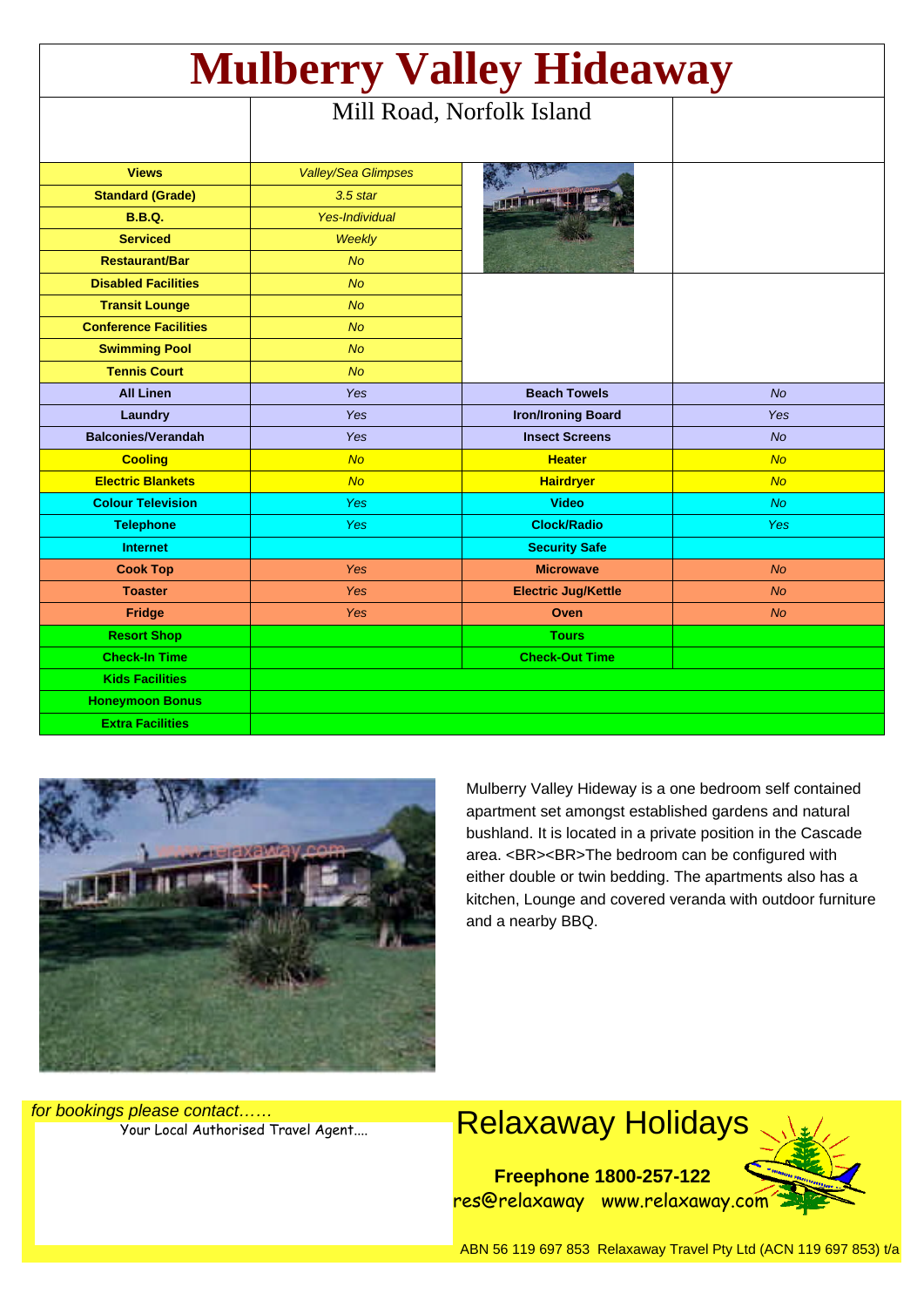| <b>Mulberry Valley Hideaway</b> |                            |                            |            |
|---------------------------------|----------------------------|----------------------------|------------|
|                                 | Mill Road, Norfolk Island  |                            |            |
|                                 |                            |                            |            |
| <b>Views</b>                    | <b>Valley/Sea Glimpses</b> |                            |            |
| <b>Standard (Grade)</b>         | $3.5$ star                 |                            |            |
| <b>B.B.Q.</b>                   | <b>Yes-Individual</b>      |                            |            |
| <b>Serviced</b>                 | <b>Weekly</b>              |                            |            |
| <b>Restaurant/Bar</b>           | <b>No</b>                  |                            |            |
| <b>Disabled Facilities</b>      | <b>No</b>                  |                            |            |
| <b>Transit Lounge</b>           | <b>No</b>                  |                            |            |
| <b>Conference Facilities</b>    | <b>No</b>                  |                            |            |
| <b>Swimming Pool</b>            | <b>No</b>                  |                            |            |
| <b>Tennis Court</b>             | <b>No</b>                  |                            |            |
| <b>All Linen</b>                | Yes                        | <b>Beach Towels</b>        | <b>No</b>  |
| Laundry                         | Yes                        | <b>Iron/Ironing Board</b>  | Yes        |
| <b>Balconies/Verandah</b>       | <b>Yes</b>                 | <b>Insect Screens</b>      | <b>No</b>  |
| <b>Cooling</b>                  | <b>No</b>                  | <b>Heater</b>              | <b>No</b>  |
| <b>Electric Blankets</b>        | <b>No</b>                  | <b>Hairdryer</b>           | <b>No</b>  |
| <b>Colour Television</b>        | <b>Yes</b>                 | <b>Video</b>               | <b>No</b>  |
| <b>Telephone</b>                | <b>Yes</b>                 | <b>Clock/Radio</b>         | <b>Yes</b> |
| <b>Internet</b>                 |                            | <b>Security Safe</b>       |            |
| <b>Cook Top</b>                 | <b>Yes</b>                 | <b>Microwave</b>           | <b>No</b>  |
| <b>Toaster</b>                  | <b>Yes</b>                 | <b>Electric Jug/Kettle</b> | <b>No</b>  |
| <b>Fridge</b>                   | <b>Yes</b>                 | Oven                       | <b>No</b>  |
| <b>Resort Shop</b>              |                            | <b>Tours</b>               |            |
| <b>Check-In Time</b>            |                            | <b>Check-Out Time</b>      |            |
| <b>Kids Facilities</b>          |                            |                            |            |
| <b>Honeymoon Bonus</b>          |                            |                            |            |
| <b>Extra Facilities</b>         |                            |                            |            |



Mulberry Valley Hideway is a one bedroom self contained apartment set amongst established gardens and natural bushland. It is located in a private position in the Cascade area. <BR><BR>The bedroom can be configured with either double or twin bedding. The apartments also has a kitchen, Lounge and covered veranda with outdoor furniture and a nearby BBQ.

for bookings please contact……